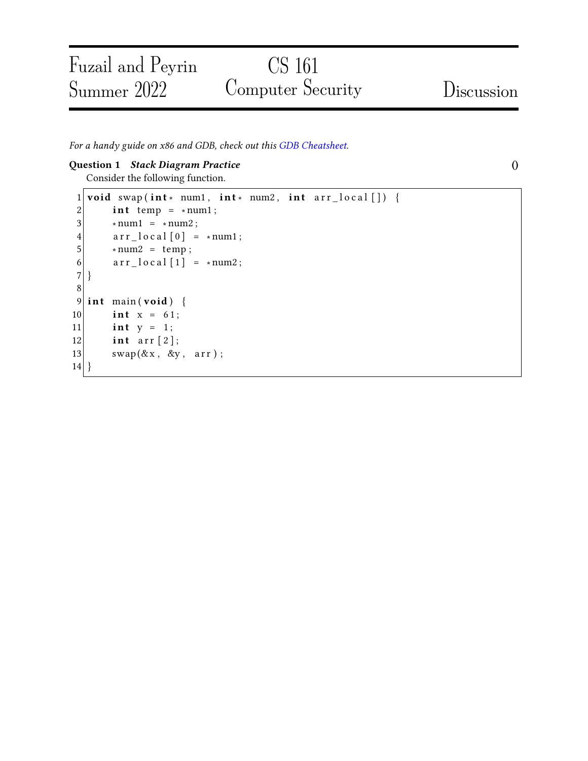# CS 161 Computer Security Discussion

For a handy guide on x86 and GDB, check out this [GDB Cheatsheet.](https://fa21.cs161.org/assets/projects/1/cheatsheet.pdf)

### Question 1 Stack Diagram Practice ()

Fuzail and Peyrin

Summer 2022

Consider the following function.

```
1 void swap (int* num1, int* num2, int arr_local []) {
 2 int temp = * num1;
 3 \times num1 = \times num2;
 4 \text{arr\_local} [0] = *num1;
5 \times num2 = temp;6 \arctan 10 \text{ cal } [1] = \text{num2};7 }
8
9 int main (void) {
10 int x = 61;
11 int y = 1;
12 int arr [2];
13 swap(\&x, \&y, \arctan x);
14 }
```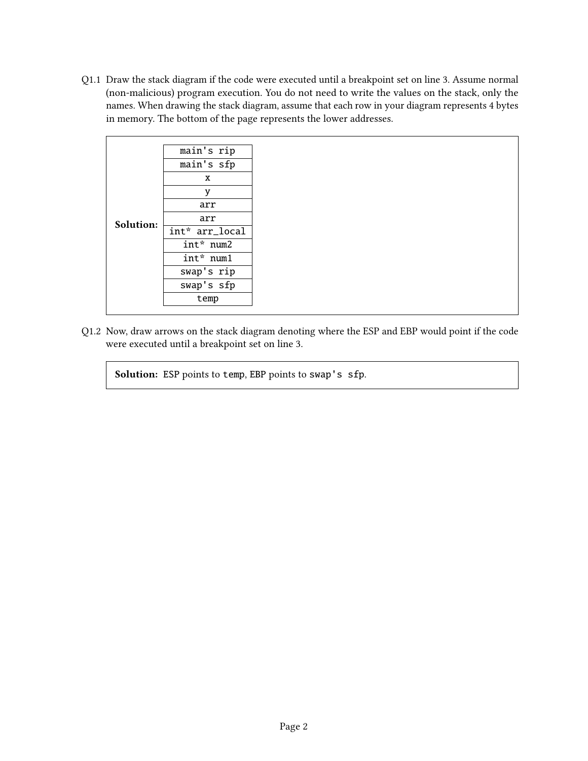Q1.1 Draw the stack diagram if the code were executed until a breakpoint set on line 3. Assume normal (non-malicious) program execution. You do not need to write the values on the stack, only the names. When drawing the stack diagram, assume that each row in your diagram represents 4 bytes in memory. The bottom of the page represents the lower addresses.



Q1.2 Now, draw arrows on the stack diagram denoting where the ESP and EBP would point if the code were executed until a breakpoint set on line 3.

Solution: ESP points to temp, EBP points to swap's sfp.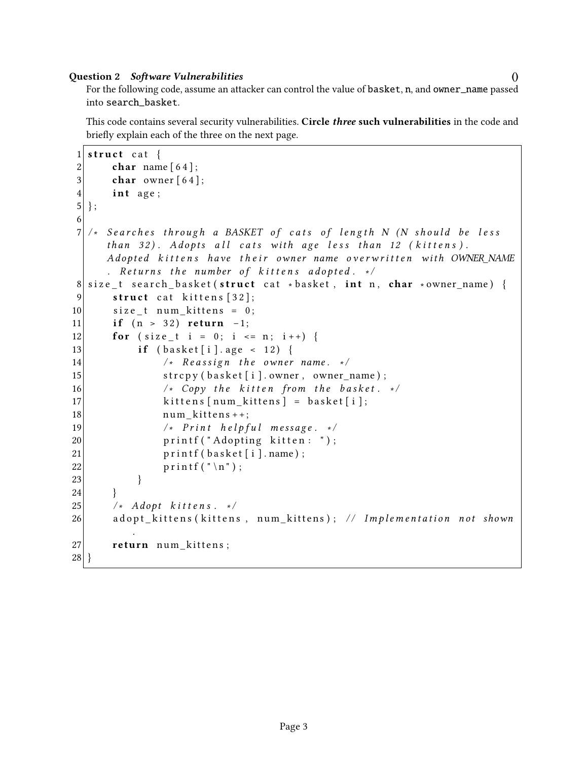# Question 2 Software Vulnerabilities ()

This code contains several security vulnerabilities. Circle *three* such vulnerabilities in the code and briefly explain each of the three on the next page.

```
1 struct cat {
2 char name [64];
3 char owner [64];
4 int age;
5 };
6
7 /* Searches through a BASKET of cats of length N (N should be less
     than 32). Adopts all cats with age less than 12 (kittens).
     Adopted kittens have their owner name overwritten with OWNER NAME
     . Returns the number of kittens adopted. \ast/8 size_t search_basket (struct cat *basket, int n, char *owner_name) {
|9| struct cat kittens [32];
10 size_t num_kittens = 0;
11 if (n > 32) return -1;
12 for (size t i = 0; i <= n; i++) {
13 if (basket[i].age < 12)14 \frac{1}{2} /* Reassign the owner name. */
15 strcpy (basket [i]. owner, owner_name);
16 \vert /* Copy the kitten from the basket. */
17 | kittens [num_kittens] = basket [i];
18 num_kittens + +;
19 \vert x \vert Print helpful message. \vert x \vert20 printf ("Adopting kitten: ");
21 printf (basket [i]. name);
22 printf (\sqrt[n]{n});
23 }
24 }
25 / ∗ Adop t k i t t e n s . ∗ /
26 adopt_kittens (kittens, num_kittens); // Implementation not shown
         .
27 return num kittens;
28 }
```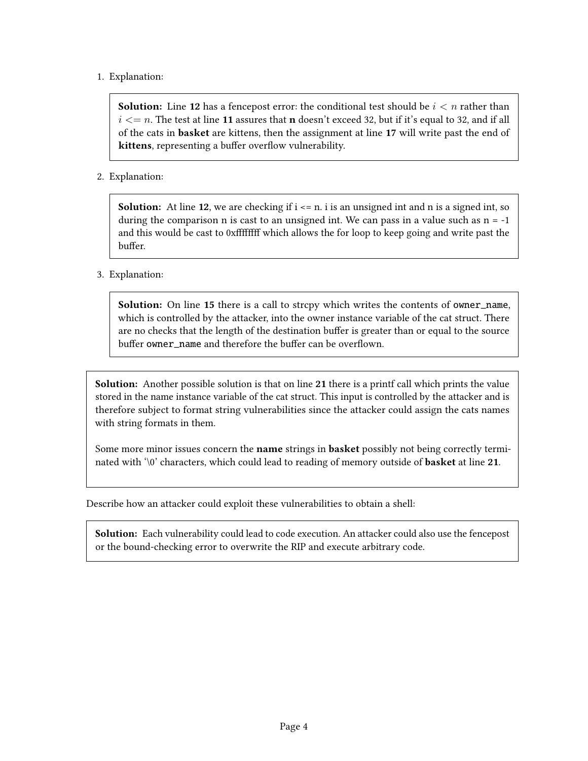# 1. Explanation:

**Solution:** Line 12 has a fencepost error: the conditional test should be  $i < n$  rather than  $i \le n$ . The test at line 11 assures that **n** doesn't exceed 32, but if it's equal to 32, and if all of the cats in basket are kittens, then the assignment at line 17 will write past the end of kittens, representing a buffer overflow vulnerability.

# 2. Explanation:

**Solution:** At line 12, we are checking if  $i \le n$ , i is an unsigned int and n is a signed int, so during the comparison n is cast to an unsigned int. We can pass in a value such as  $n = -1$ and this would be cast to 0xffffffff which allows the for loop to keep going and write past the buffer.

# 3. Explanation:

Solution: On line 15 there is a call to strcpy which writes the contents of owner\_name, which is controlled by the attacker, into the owner instance variable of the cat struct. There are no checks that the length of the destination buffer is greater than or equal to the source buffer owner\_name and therefore the buffer can be overflown.

Solution: Another possible solution is that on line 21 there is a printf call which prints the value stored in the name instance variable of the cat struct. This input is controlled by the attacker and is therefore subject to format string vulnerabilities since the attacker could assign the cats names with string formats in them.

Some more minor issues concern the name strings in basket possibly not being correctly terminated with '\0' characters, which could lead to reading of memory outside of **basket** at line 21.

Describe how an attacker could exploit these vulnerabilities to obtain a shell:

Solution: Each vulnerability could lead to code execution. An attacker could also use the fencepost or the bound-checking error to overwrite the RIP and execute arbitrary code.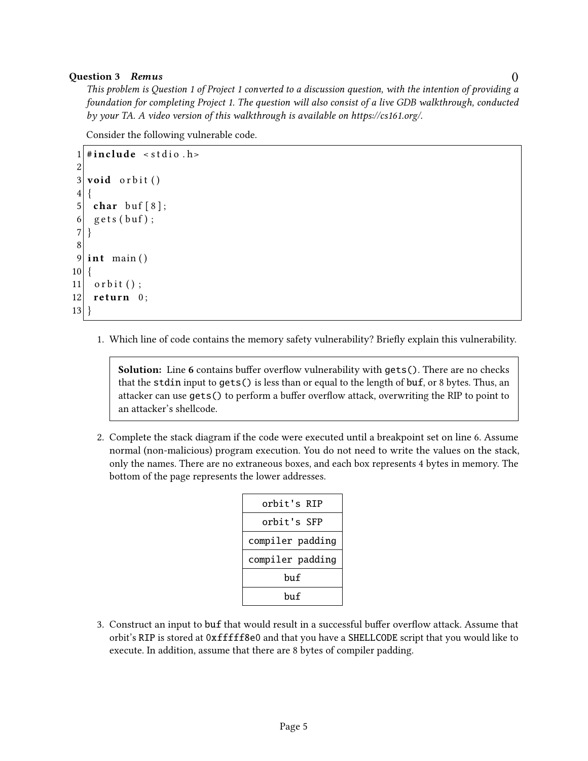### Question 3 Remus ()

This problem is Question 1 of Project 1 converted to a discussion question, with the intention of providing a foundation for completing Project 1. The question will also consist of a live GDB walkthrough, conducted by your TA. A video version of this walkthrough is available on https://cs161.org/.

Consider the following vulnerable code.

```
1 \#include < stdio .h>
 2
 3 void orbit ()
 4 \mid \{5 char buf [8];
 6 \mid gets (buf);
 7 }
 8
 9 int main ()
10 \mid \{11 orbit ();
12 return 0;
13 }
```
1. Which line of code contains the memory safety vulnerability? Briefly explain this vulnerability.

Solution: Line 6 contains buffer overflow vulnerability with gets(). There are no checks that the stdin input to gets() is less than or equal to the length of buf, or 8 bytes. Thus, an attacker can use gets() to perform a buffer overflow attack, overwriting the RIP to point to an attacker's shellcode.

2. Complete the stack diagram if the code were executed until a breakpoint set on line 6. Assume normal (non-malicious) program execution. You do not need to write the values on the stack, only the names. There are no extraneous boxes, and each box represents 4 bytes in memory. The bottom of the page represents the lower addresses.

| orbit's RIP      |
|------------------|
|                  |
| orbit's SFP      |
| compiler padding |
| compiler padding |
| huf              |
| bu f             |

3. Construct an input to buf that would result in a successful buffer overflow attack. Assume that orbit's RIP is stored at 0xfffff8e0 and that you have a SHELLCODE script that you would like to execute. In addition, assume that there are 8 bytes of compiler padding.